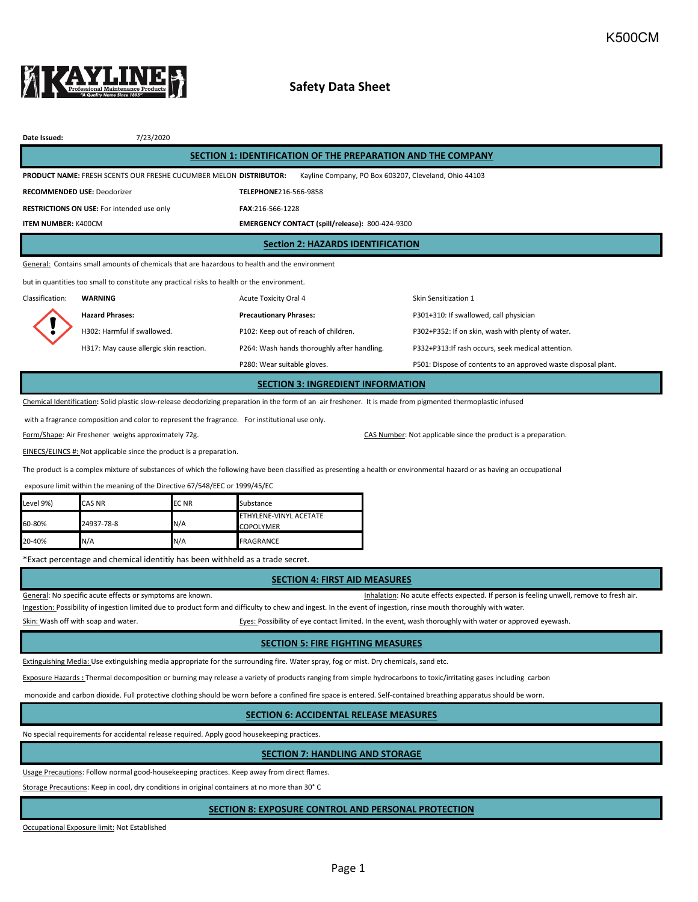

# **Safety Data Sheet**

| Date Issued:                                                                                                                                                 | 7/23/2020                                  |                                                 |                                                                |  |  |  |  |  |
|--------------------------------------------------------------------------------------------------------------------------------------------------------------|--------------------------------------------|-------------------------------------------------|----------------------------------------------------------------|--|--|--|--|--|
| SECTION 1: IDENTIFICATION OF THE PREPARATION AND THE COMPANY                                                                                                 |                                            |                                                 |                                                                |  |  |  |  |  |
| <b>PRODUCT NAME: FRESH SCENTS OUR FRESH BCUCUMBER MELON DISTRIBUTOR:</b><br>Kayline Company, PO Box 603207, Cleveland, Ohio 44103                            |                                            |                                                 |                                                                |  |  |  |  |  |
| <b>RECOMMENDED USE: Deodorizer</b>                                                                                                                           |                                            | TELEPHONE216-566-9858                           |                                                                |  |  |  |  |  |
|                                                                                                                                                              | RESTRICTIONS ON USE: For intended use only | FAX:216-566-1228                                |                                                                |  |  |  |  |  |
| <b>ITEM NUMBER: K400CM</b>                                                                                                                                   |                                            | EMERGENCY CONTACT (spill/release): 800-424-9300 |                                                                |  |  |  |  |  |
| <b>Section 2: HAZARDS IDENTIFICATION</b>                                                                                                                     |                                            |                                                 |                                                                |  |  |  |  |  |
| General: Contains small amounts of chemicals that are hazardous to health and the environment                                                                |                                            |                                                 |                                                                |  |  |  |  |  |
| but in quantities too small to constitute any practical risks to health or the environment.                                                                  |                                            |                                                 |                                                                |  |  |  |  |  |
| Classification:                                                                                                                                              | <b>WARNING</b>                             | Acute Toxicity Oral 4                           | Skin Sensitization 1                                           |  |  |  |  |  |
|                                                                                                                                                              | <b>Hazard Phrases:</b>                     | <b>Precautionary Phrases:</b>                   | P301+310: If swallowed, call physician                         |  |  |  |  |  |
|                                                                                                                                                              | H302: Harmful if swallowed.                | P102: Keep out of reach of children.            | P302+P352: If on skin, wash with plenty of water.              |  |  |  |  |  |
|                                                                                                                                                              | H317: May cause allergic skin reaction.    | P264: Wash hands thoroughly after handling.     | P332+P313: If rash occurs, seek medical attention.             |  |  |  |  |  |
|                                                                                                                                                              |                                            | P280: Wear suitable gloves.                     | P501: Dispose of contents to an approved waste disposal plant. |  |  |  |  |  |
| <b>SECTION 3: INGREDIENT INFORMATION</b>                                                                                                                     |                                            |                                                 |                                                                |  |  |  |  |  |
| Chemical Identification: Solid plastic slow-release deodorizing preparation in the form of an air freshener. It is made from pigmented thermoplastic infused |                                            |                                                 |                                                                |  |  |  |  |  |

with a fragrance composition and color to represent the fragrance. For institutional use only.

Form/Shape: Air Freshener weighs approximately 72g. CAS Number: Not applicable since the product is a preparation.

EINECS/ELINCS #: Not applicable since the product is a preparation.

The product is a complex mixture of substances of which the following have been classified as presenting a health or environmental hazard or as having an occupational

exposure limit within the meaning of the Directive 67/548/EEC or 1999/45/EC

| Level 9%) | <b>CAS NR</b> | <b>ECNR</b> | Substance                                         |
|-----------|---------------|-------------|---------------------------------------------------|
| 60-80%    | 24937-78-8    | N/A         | <b>ETHYLENE-VINYL ACETATE</b><br><b>COPOLYMER</b> |
| 20-40%    | N/A           | N/A         | <b>FRAGRANCE</b>                                  |

\*Exact percentage and chemical identitiy has been withheld as a trade secret.

#### **SECTION 4: FIRST AID MEASURES**

General: No specific acute effects or symptoms are known. That is a series of the state of the state of resh air.

Ingestion: Possibility of ingestion limited due to product form and difficulty to chew and ingest. In the event of ingestion, rinse mouth thoroughly with water.

Skin: Wash off with soap and water. The state of a state of eyes: Possibility of eye contact limited. In the event, wash thoroughly with water or approved eyewash.

#### **SECTION 5: FIRE FIGHTING MEASURES**

Extinguishing Media: Use extinguishing media appropriate for the surrounding fire. Water spray, fog or mist. Dry chemicals, sand etc.

Exposure Hazards **:** Thermal decomposition or burning may release a variety of products ranging from simple hydrocarbons to toxic/irritating gases including carbon

monoxide and carbon dioxide. Full protective clothing should be worn before a confined fire space is entered. Self-contained breathing apparatus should be worn.

# **SECTION 6: ACCIDENTAL RELEASE MEASURES**

No special requirements for accidental release required. Apply good housekeeping practices.

# **SECTION 7: HANDLING AND STORAGE**

Usage Precautions: Follow normal good-housekeeping practices. Keep away from direct flames.

Storage Precautions: Keep in cool, dry conditions in original containers at no more than 30° C

### **SECTION 8: EXPOSURE CONTROL AND PERSONAL PROTECTION**

Occupational Exposure limit: Not Established